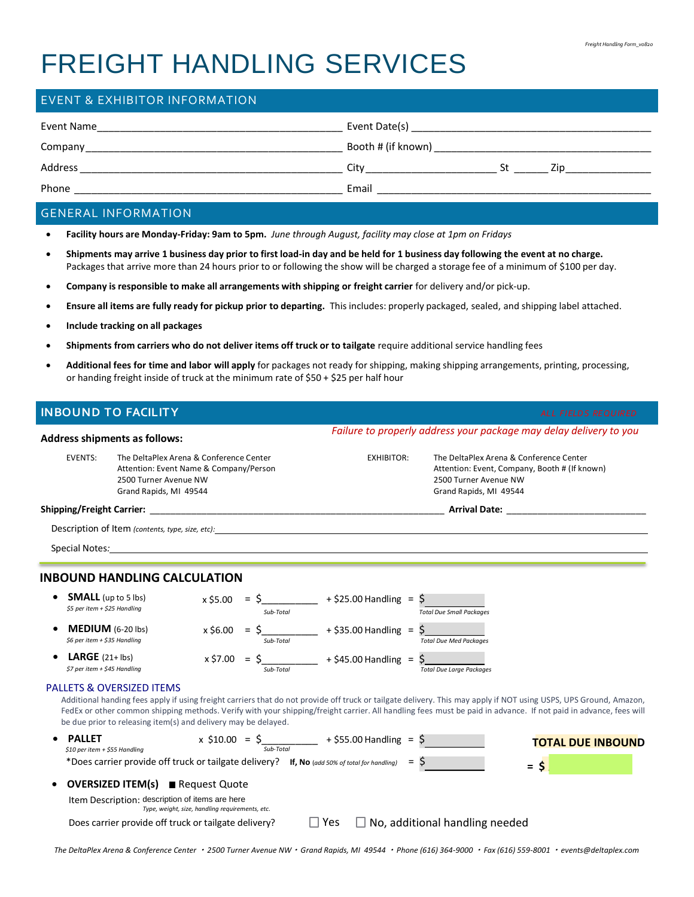# FREIGHT HANDLING SERVICES

| Event Name | Event Date(s)               |
|------------|-----------------------------|
| Company    | Booth # (if known)          |
| Address    | City<br>St<br>$\frac{1}{2}$ |
| Phone      | Email                       |

## GENERAL INFORMATION

- **Facility hours are Monday-Friday: 9am to 5pm.** *June through August, facility may close at 1pm on Fridays*
- **Shipments may arrive 1 business day prior to first load-in day and be held for 1 business day following the event at no charge.** Packages that arrive more than 24 hours prior to or following the show will be charged a storage fee of a minimum of \$100 per day.
- **Company is responsible to make all arrangements with shipping or freight carrier** for delivery and/or pick-up.
- **Ensure all items are fully ready for pickup prior to departing.** This includes: properly packaged, sealed, and shipping label attached.
- **Include tracking on all packages**
- **Shipments from carriers who do not deliver items off truck or to tailgate** require additional service handling fees
- **Additional fees for time and labor will apply** for packages not ready for shipping, making shipping arrangements, printing, processing, or handing freight inside of truck at the minimum rate of \$50 + \$25 per half hour

*Failure to properly address your package may delay delivery to you*

## **INBOUND TO FACILITY** *ALL FIELDS REQUIRED*

|                                                            | <b>Address shipments as follows:</b>                                                                                                                                                                                                                                                                                                                                                                                                           |           |                                                          |            | Failure to properly dadress your package may delay delivery to you                                                                          |        |                          |
|------------------------------------------------------------|------------------------------------------------------------------------------------------------------------------------------------------------------------------------------------------------------------------------------------------------------------------------------------------------------------------------------------------------------------------------------------------------------------------------------------------------|-----------|----------------------------------------------------------|------------|---------------------------------------------------------------------------------------------------------------------------------------------|--------|--------------------------|
| <b>EVENTS:</b>                                             | The DeltaPlex Arena & Conference Center<br>Attention: Event Name & Company/Person<br>2500 Turner Avenue NW<br>Grand Rapids, MI 49544                                                                                                                                                                                                                                                                                                           |           |                                                          | EXHIBITOR: | The DeltaPlex Arena & Conference Center<br>Attention: Event, Company, Booth # (If known)<br>2500 Turner Avenue NW<br>Grand Rapids, MI 49544 |        |                          |
|                                                            |                                                                                                                                                                                                                                                                                                                                                                                                                                                |           |                                                          |            |                                                                                                                                             |        |                          |
|                                                            | <b>Description of Item (contents, type, size, etc):</b> $\frac{1}{2}$                                                                                                                                                                                                                                                                                                                                                                          |           |                                                          |            |                                                                                                                                             |        |                          |
|                                                            |                                                                                                                                                                                                                                                                                                                                                                                                                                                |           |                                                          |            |                                                                                                                                             |        |                          |
|                                                            | <b>INBOUND HANDLING CALCULATION</b>                                                                                                                                                                                                                                                                                                                                                                                                            |           |                                                          |            |                                                                                                                                             |        |                          |
| <b>SMALL</b> (up to 5 lbs)<br>\$5 per item + \$25 Handling |                                                                                                                                                                                                                                                                                                                                                                                                                                                | Sub-Total | $x$ \$5.00 = \$___________ + \$25.00 Handling = \$       |            | <b>Total Due Small Packages</b>                                                                                                             |        |                          |
| <b>MEDIUM</b> $(6-20$ lbs)<br>\$6 per item + \$35 Handling |                                                                                                                                                                                                                                                                                                                                                                                                                                                | Sub-Total | $x $6.00 = $$ = \$ + \$35.00 Handling = \$               |            | <b>Total Due Med Packages</b>                                                                                                               |        |                          |
| <b>LARGE</b> $(21 + lbs)$<br>\$7 per item + \$45 Handling  |                                                                                                                                                                                                                                                                                                                                                                                                                                                | Sub-Total | $x$ \$7.00 = \$___________ + \$45.00 Handling = \$_      |            | <b>Total Due Large Packages</b>                                                                                                             |        |                          |
|                                                            | <b>PALLETS &amp; OVERSIZED ITEMS</b><br>Additional handing fees apply if using freight carriers that do not provide off truck or tailgate delivery. This may apply if NOT using USPS, UPS Ground, Amazon,<br>FedEx or other common shipping methods. Verify with your shipping/freight carrier. All handling fees must be paid in advance. If not paid in advance, fees will<br>be due prior to releasing item(s) and delivery may be delayed. |           |                                                          |            |                                                                                                                                             |        |                          |
| <b>PALLET</b><br>\$10 per item + \$55 Handling             |                                                                                                                                                                                                                                                                                                                                                                                                                                                |           | x \$10.00 = $\frac{1}{500-7000}$ + \$55.00 Handling = \$ |            |                                                                                                                                             |        | <b>TOTAL DUE INBOUND</b> |
|                                                            | *Does carrier provide off truck or tailgate delivery? If, No (add 50% of total for handling) = $\zeta$                                                                                                                                                                                                                                                                                                                                         |           |                                                          |            |                                                                                                                                             | $=$ \$ |                          |
|                                                            | <b>OVERSIZED ITEM(s)</b> Request Quote                                                                                                                                                                                                                                                                                                                                                                                                         |           |                                                          |            |                                                                                                                                             |        |                          |
|                                                            | Item Description: description of items are here<br>Type, weight, size, handling requirements, etc.                                                                                                                                                                                                                                                                                                                                             |           |                                                          |            |                                                                                                                                             |        |                          |
|                                                            | Does carrier provide off truck or tailgate delivery?                                                                                                                                                                                                                                                                                                                                                                                           |           | l I Yes                                                  |            | $\Box$ No, additional handling needed                                                                                                       |        |                          |

*The DeltaPlex Arena & Conference Center 2500 Turner Avenue NW Grand Rapids, MI 49544 Phone (616) 364-9000 Fax (616) 559-8001 events@deltaplex.com*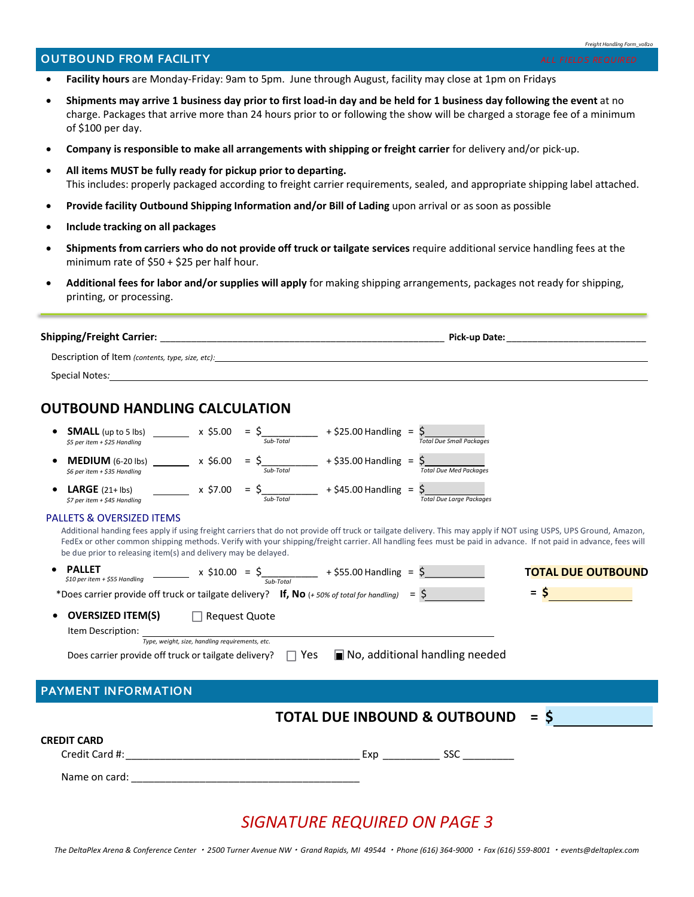#### *Freight Handling Form\_v0820*

## **OUTBOUND FROM FACILITY** *ALL FIELDS REQUIRED*

- 
- **Facility hours** are Monday-Friday: 9am to 5pm. June through August, facility may close at 1pm on Fridays
- **Shipments may arrive 1 business day prior to first load-in day and be held for 1 business day following the event** at no charge. Packages that arrive more than 24 hours prior to or following the show will be charged a storage fee of a minimum of \$100 per day.
- **Company is responsible to make all arrangements with shipping or freight carrier** for delivery and/or pick-up.
- **All items MUST be fully ready for pickup prior to departing.** This includes: properly packaged according to freight carrier requirements, sealed, and appropriate shipping label attached.
- **Provide facility Outbound Shipping Information and/or Bill of Lading** upon arrival or as soon as possible
- **Include tracking on all packages**
- **Shipments from carriers who do not provide off truck or tailgate services** require additional service handling fees at the minimum rate of \$50 + \$25 per half hour.
- **Additional fees for labor and/or supplies will apply** for making shipping arrangements, packages not ready for shipping, printing, or processing.

| <b>Shipping/Freight Carrier:</b>                 | Pick-up Date: |
|--------------------------------------------------|---------------|
| Description of Item (contents, type, size, etc): |               |
| Special Notes:                                   |               |

# **OUTBOUND HANDLING CALCULATION**

| <b>SMALL</b> (up to 5 lbs)<br>\$5 per item + \$25 Handling | x \$5.00 | $=$<br>Sub-Total | $+$ \$25.00 Handling =    | <b>Total Due Small Packages</b> |
|------------------------------------------------------------|----------|------------------|---------------------------|---------------------------------|
| $MEDIUM$ (6-20 lbs)<br>\$6 per item + \$35 Handling        | x \$6.00 | $=$<br>Sub-Total | $+$ \$35.00 Handling = \$ | <b>Total Due Med Packages</b>   |
| <b>LARGE</b> $(21+1bs)$<br>\$7 per item + \$45 Handling    | x \$7.00 | $=$<br>Sub-Total | $+$ \$45.00 Handling =    | <b>Total Due Large Packages</b> |

### PALLETS & OVERSIZED ITEMS

Additional handing fees apply if using freight carriers that do not provide off truck or tailgate delivery. This may apply if NOT using USPS, UPS Ground, Amazon, FedEx or other common shipping methods. Verify with your shipping/freight carrier. All handling fees must be paid in advance. If not paid in advance, fees will be due prior to releasing item(s) and delivery may be delayed.

| <b>PALLET</b><br>\$10 per item + \$55 Handling                                                         | $x \xi 10.00 = \xi$<br>Sub-Total                |            | + \$55.00 Handling = $\frac{6}{5}$      |                                               | <b>TOTAL DUE OUTBOUND</b> |
|--------------------------------------------------------------------------------------------------------|-------------------------------------------------|------------|-----------------------------------------|-----------------------------------------------|---------------------------|
| *Does carrier provide off truck or tailgate delivery? If, No $(+50\%$ of total for handling) = $\zeta$ |                                                 |            |                                         |                                               | $=$ $\mathsf{S}$          |
| <b>OVERSIZED ITEM(S)</b><br>$\bullet$                                                                  | $\Box$ Request Quote                            |            |                                         |                                               |                           |
| Item Description:                                                                                      | Type, weight, size, handling requirements, etc. |            |                                         |                                               |                           |
| Does carrier provide off truck or tailgate delivery?                                                   |                                                 | $\Box$ Yes |                                         | $\blacksquare$ No, additional handling needed |                           |
|                                                                                                        |                                                 |            |                                         |                                               |                           |
| <b>PAYMENT INFORMATION</b>                                                                             |                                                 |            |                                         |                                               |                           |
|                                                                                                        |                                                 |            | <b>TOTAL DUE INBOUND &amp; OUTBOUND</b> |                                               | $\equiv$                  |
| CREDIT CARD                                                                                            |                                                 |            |                                         |                                               |                           |
| Credit Card #:                                                                                         |                                                 |            | Exp                                     | <b>SSC</b>                                    |                           |
| Name on card:                                                                                          |                                                 |            |                                         |                                               |                           |

# *SIGNATURE REQUIRED ON PAGE 3*

*The DeltaPlex Arena & Conference Center 2500 Turner Avenue NW Grand Rapids, MI 49544 Phone (616) 364-9000 Fax (616) 559-8001 events@deltaplex.com*